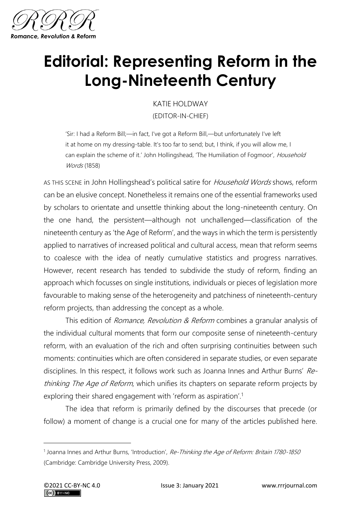

## **Editorial: Representing Reform in the Long-Nineteenth Century**

KATIE HOLDWAY (EDITOR-IN-CHIEF)

'Sir: I had a Reform Bill;—in fact, I've got a Reform Bill,—but unfortunately I've left it at home on my dressing-table. It's too far to send; but, I think, if you will allow me, I can explain the scheme of it.' John Hollingshead, 'The Humiliation of Fogmoor', Household Words (1858)

AS THIS SCENE in John Hollingshead's political satire for *Household Words* shows, reform can be an elusive concept. Nonetheless it remains one of the essential frameworks used by scholars to orientate and unsettle thinking about the long-nineteenth century. On the one hand, the persistent—although not unchallenged—classification of the nineteenth century as 'the Age of Reform', and the ways in which the term is persistently applied to narratives of increased political and cultural access, mean that reform seems to coalesce with the idea of neatly cumulative statistics and progress narratives. However, recent research has tended to subdivide the study of reform, finding an approach which focusses on single institutions, individuals or pieces of legislation more favourable to making sense of the heterogeneity and patchiness of nineteenth-century reform projects, than addressing the concept as a whole.

This edition of *Romance, Revolution & Reform* combines a granular analysis of the individual cultural moments that form our composite sense of nineteenth-century reform, with an evaluation of the rich and often surprising continuities between such moments: continuities which are often considered in separate studies, or even separate disciplines. In this respect, it follows work such as Joanna Innes and Arthur Burns' Rethinking The Age of Reform, which unifies its chapters on separate reform projects by exploring their shared engagement with 'reform as aspiration'.<sup>1</sup>

The idea that reform is primarily defined by the discourses that precede (or follow) a moment of change is a crucial one for many of the articles published here.

<sup>&</sup>lt;sup>1</sup> Joanna Innes and Arthur Burns, 'Introduction', Re-Thinking the Age of Reform: Britain 1780-1850 (Cambridge: Cambridge University Press, 2009).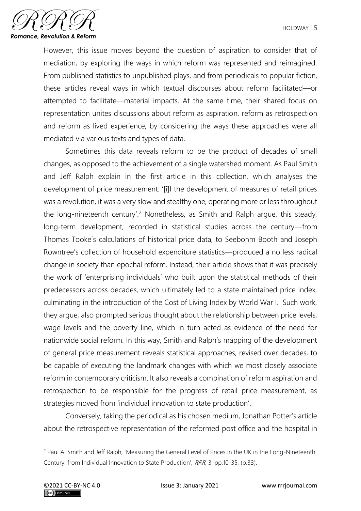

However, this issue moves beyond the question of aspiration to consider that of mediation, by exploring the ways in which reform was represented and reimagined. From published statistics to unpublished plays, and from periodicals to popular fiction, these articles reveal ways in which textual discourses about reform facilitated—or attempted to facilitate—material impacts. At the same time, their shared focus on representation unites discussions about reform as aspiration, reform as retrospection and reform as lived experience, by considering the ways these approaches were all mediated via various texts and types of data.

Sometimes this data reveals reform to be the product of decades of small changes, as opposed to the achievement of a single watershed moment. As Paul Smith and Jeff Ralph explain in the first article in this collection, which analyses the development of price measurement: '[i]f the development of measures of retail prices was a revolution, it was a very slow and stealthy one, operating more or less throughout the long-nineteenth century'.<sup>2</sup> Nonetheless, as Smith and Ralph argue, this steady, long-term development, recorded in statistical studies across the century—from Thomas Tooke's calculations of historical price data, to Seebohm Booth and Joseph Rowntree's collection of household expenditure statistics—produced a no less radical change in society than epochal reform. Instead, their article shows that it was precisely the work of 'enterprising individuals' who built upon the statistical methods of their predecessors across decades, which ultimately led to a state maintained price index, culminating in the introduction of the Cost of Living Index by World War I. Such work, they argue, also prompted serious thought about the relationship between price levels, wage levels and the poverty line, which in turn acted as evidence of the need for nationwide social reform. In this way, Smith and Ralph's mapping of the development of general price measurement reveals statistical approaches, revised over decades, to be capable of executing the landmark changes with which we most closely associate reform in contemporary criticism. It also reveals a combination of reform aspiration and retrospection to be responsible for the progress of retail price measurement, as strategies moved from 'individual innovation to state production'.

Conversely, taking the periodical as his chosen medium, Jonathan Potter's article about the retrospective representation of the reformed post office and the hospital in

<sup>&</sup>lt;sup>2</sup> Paul A. Smith and Jeff Ralph, 'Measuring the General Level of Prices in the UK in the Long-Nineteenth Century: from Individual Innovation to State Production', RRR, 3, pp.10-35, (p.33).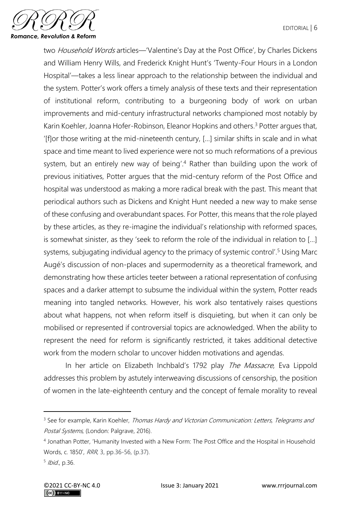

two Household Words articles—'Valentine's Day at the Post Office', by Charles Dickens and William Henry Wills, and Frederick Knight Hunt's 'Twenty-Four Hours in a London Hospital'—takes a less linear approach to the relationship between the individual and the system. Potter's work offers a timely analysis of these texts and their representation of institutional reform, contributing to a burgeoning body of work on urban improvements and mid-century infrastructural networks championed most notably by Karin Koehler, Joanna Hofer-Robinson, Eleanor Hopkins and others.<sup>3</sup> Potter argues that, '[f]or those writing at the mid-nineteenth century, […] similar shifts in scale and in what space and time meant to lived experience were not so much reformations of a previous system, but an entirely new way of being'. <sup>4</sup> Rather than building upon the work of previous initiatives, Potter argues that the mid-century reform of the Post Office and hospital was understood as making a more radical break with the past. This meant that periodical authors such as Dickens and Knight Hunt needed a new way to make sense of these confusing and overabundant spaces. For Potter, this means that the role played by these articles, as they re-imagine the individual's relationship with reformed spaces, is somewhat sinister, as they 'seek to reform the role of the individual in relation to […] systems, subjugating individual agency to the primacy of systemic control'.<sup>5</sup> Using Marc Augé's discussion of non-places and supermodernity as a theoretical framework, and demonstrating how these articles teeter between a rational representation of confusing spaces and a darker attempt to subsume the individual within the system, Potter reads meaning into tangled networks. However, his work also tentatively raises questions about what happens, not when reform itself is disquieting, but when it can only be mobilised or represented if controversial topics are acknowledged. When the ability to represent the need for reform is significantly restricted, it takes additional detective work from the modern scholar to uncover hidden motivations and agendas.

In her article on Elizabeth Inchbald's 1792 play The Massacre, Eva Lippold addresses this problem by astutely interweaving discussions of censorship, the position of women in the late-eighteenth century and the concept of female morality to reveal

<sup>&</sup>lt;sup>3</sup> See for example, Karin Koehler, *Thomas Hardy and Victorian Communication: Letters, Telegrams and* Postal Systems, (London: Palgrave, 2016).

<sup>4</sup> Jonathan Potter, 'Humanity Invested with a New Form: The Post Office and the Hospital in Household Words, c. 1850', RRR, 3, pp.36-56, (p.37).

<sup>&</sup>lt;sup>5</sup> Ibid., p.36.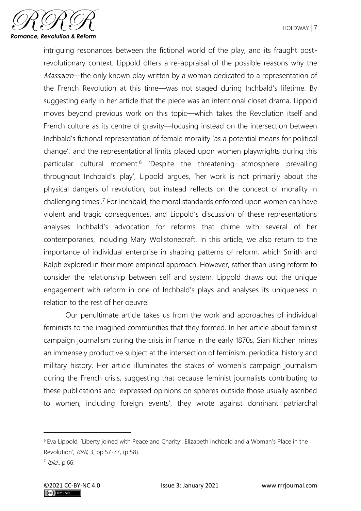

intriguing resonances between the fictional world of the play, and its fraught postrevolutionary context. Lippold offers a re-appraisal of the possible reasons why the Massacre—the only known play written by a woman dedicated to a representation of the French Revolution at this time—was not staged during Inchbald's lifetime. By suggesting early in her article that the piece was an intentional closet drama, Lippold moves beyond previous work on this topic—which takes the Revolution itself and French culture as its centre of gravity—focusing instead on the intersection between Inchbald's fictional representation of female morality 'as a potential means for political change', and the representational limits placed upon women playwrights during this particular cultural moment.<sup>6</sup> 'Despite the threatening atmosphere prevailing throughout Inchbald's play', Lippold argues, 'her work is not primarily about the physical dangers of revolution, but instead reflects on the concept of morality in challenging times'.<sup>7</sup> For Inchbald, the moral standards enforced upon women can have violent and tragic consequences, and Lippold's discussion of these representations analyses Inchbald's advocation for reforms that chime with several of her contemporaries, including Mary Wollstonecraft. In this article, we also return to the importance of individual enterprise in shaping patterns of reform, which Smith and Ralph explored in their more empirical approach. However, rather than using reform to consider the relationship between self and system, Lippold draws out the unique engagement with reform in one of Inchbald's plays and analyses its uniqueness in relation to the rest of her oeuvre.

Our penultimate article takes us from the work and approaches of individual feminists to the imagined communities that they formed. In her article about feminist campaign journalism during the crisis in France in the early 1870s, Sian Kitchen mines an immensely productive subject at the intersection of feminism, periodical history and military history. Her article illuminates the stakes of women's campaign journalism during the French crisis, suggesting that because feminist journalists contributing to these publications and 'expressed opinions on spheres outside those usually ascribed to women, including foreign events', they wrote against dominant patriarchal

<sup>6</sup> Eva Lippold, 'Liberty joined with Peace and Charity': Elizabeth Inchbald and a Woman's Place in the Revolution', RRR, 3, pp.57-77, (p.58).

<sup>&</sup>lt;sup>7</sup> Ibid., p.66.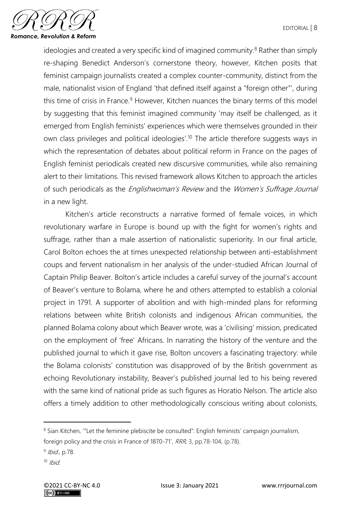

ideologies and created a very specific kind of imagined community. $8$  Rather than simply re-shaping Benedict Anderson's cornerstone theory, however, Kitchen posits that feminist campaign journalists created a complex counter-community, distinct from the male, nationalist vision of England 'that defined itself against a "foreign other"', during this time of crisis in France.<sup>9</sup> However, Kitchen nuances the binary terms of this model by suggesting that this feminist imagined community 'may itself be challenged, as it emerged from English feminists' experiences which were themselves grounded in their own class privileges and political ideologies'.<sup>10</sup> The article therefore suggests ways in which the representation of debates about political reform in France on the pages of English feminist periodicals created new discursive communities, while also remaining alert to their limitations. This revised framework allows Kitchen to approach the articles of such periodicals as the *Englishwoman's Review* and the *Women's Suffrage Journal* in a new light.

Kitchen's article reconstructs a narrative formed of female voices, in which revolutionary warfare in Europe is bound up with the fight for women's rights and suffrage, rather than a male assertion of nationalistic superiority. In our final article, Carol Bolton echoes the at times unexpected relationship between anti-establishment coups and fervent nationalism in her analysis of the under-studied African Journal of Captain Philip Beaver. Bolton's article includes a careful survey of the journal's account of Beaver's venture to Bolama, where he and others attempted to establish a colonial project in 1791. A supporter of abolition and with high-minded plans for reforming relations between white British colonists and indigenous African communities, the planned Bolama colony about which Beaver wrote, was a 'civilising' mission, predicated on the employment of 'free' Africans. In narrating the history of the venture and the published journal to which it gave rise, Bolton uncovers a fascinating trajectory: while the Bolama colonists' constitution was disapproved of by the British government as echoing Revolutionary instability, Beaver's published journal led to his being revered with the same kind of national pride as such figures as Horatio Nelson. The article also offers a timely addition to other methodologically conscious writing about colonists,

<sup>&</sup>lt;sup>8</sup> Sian Kitchen, "Let the feminine plebiscite be consulted": English feminists' campaign journalism,

foreign policy and the crisis in France of 1870-71', RRR, 3, pp.78-104, (p.78).

<sup>&</sup>lt;sup>9</sup> Ibid., p.78.

 $10$  Ibid